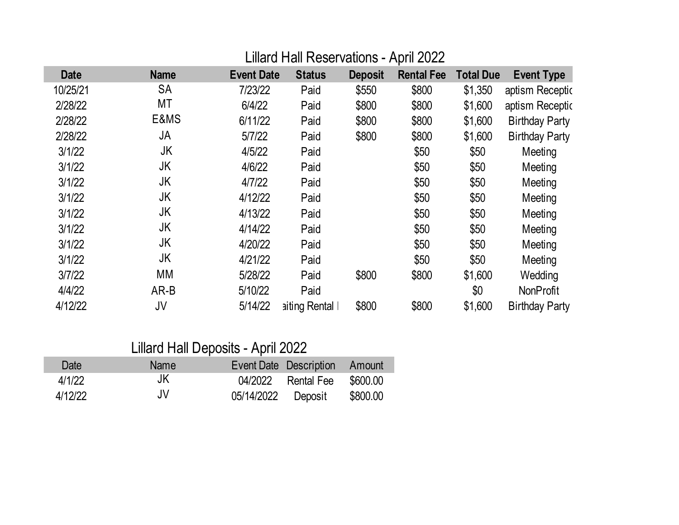# Lillard Hall Reservations - April 2022

| <b>Date</b> | <b>Name</b> | <b>Event Date</b> | <b>Status</b> | <b>Deposit</b> | <b>Rental Fee</b> | <b>Total Due</b> | <b>Event Type</b>     |
|-------------|-------------|-------------------|---------------|----------------|-------------------|------------------|-----------------------|
| 10/25/21    | <b>SA</b>   | 7/23/22           | Paid          | \$550          | \$800             | \$1,350          | aptism Receptic       |
| 2/28/22     | МT          | 6/4/22            | Paid          | \$800          | \$800             | \$1,600          | aptism Receptic       |
| 2/28/22     | E&MS        | 6/11/22           | Paid          | \$800          | \$800             | \$1,600          | <b>Birthday Party</b> |
| 2/28/22     | JA          | 5/7/22            | Paid          | \$800          | \$800             | \$1,600          | <b>Birthday Party</b> |
| 3/1/22      | JK          | 4/5/22            | Paid          |                | \$50              | \$50             | Meeting               |
| 3/1/22      | JK          | 4/6/22            | Paid          |                | \$50              | \$50             | Meeting               |
| 3/1/22      | JK          | 4/7/22            | Paid          |                | \$50              | \$50             | Meeting               |
| 3/1/22      | JK          | 4/12/22           | Paid          |                | \$50              | \$50             | Meeting               |
| 3/1/22      | JK          | 4/13/22           | Paid          |                | \$50              | \$50             | Meeting               |
| 3/1/22      | JK          | 4/14/22           | Paid          |                | \$50              | \$50             | Meeting               |
| 3/1/22      | JK          | 4/20/22           | Paid          |                | \$50              | \$50             | Meeting               |
| 3/1/22      | JK          | 4/21/22           | Paid          |                | \$50              | \$50             | Meeting               |
| 3/7/22      | МM          | 5/28/22           | Paid          | \$800          | \$800             | \$1,600          | Wedding               |
| 4/4/22      | AR-B        | 5/10/22           | Paid          |                |                   | \$0              | <b>NonProfit</b>      |
| 4/12/22     | JV          | 5/14/22           | aiting Rental | \$800          | \$800             | \$1,600          | <b>Birthday Party</b> |

# Lillard Hall Deposits - April 2022

| Date    | Name |                    | Event Date Description Amount |          |
|---------|------|--------------------|-------------------------------|----------|
| 4/1/22  | JK   |                    | 04/2022 Rental Fee            | \$600.00 |
| 4/12/22 | JV   | 05/14/2022 Deposit |                               | \$800.00 |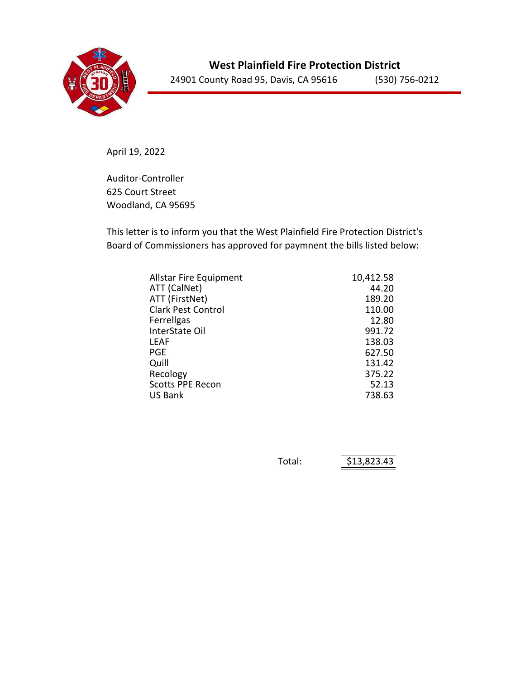

April 19, 2022

Auditor-Controller 625 Court Street Woodland, CA 95695

This letter is to inform you that the West Plainfield Fire Protection District's Board of Commissioners has approved for paymnent the bills listed below:

| <b>Allstar Fire Equipment</b> | 10,412.58 |
|-------------------------------|-----------|
| ATT (CalNet)                  | 44.20     |
| ATT (FirstNet)                | 189.20    |
| <b>Clark Pest Control</b>     | 110.00    |
| Ferrellgas                    | 12.80     |
| InterState Oil                | 991.72    |
| LEAF                          | 138.03    |
| PGE                           | 627.50    |
| Quill                         | 131.42    |
| Recology                      | 375.22    |
| <b>Scotts PPE Recon</b>       | 52.13     |
| <b>US Bank</b>                | 738.63    |

| Total: | \$13,823.43 |
|--------|-------------|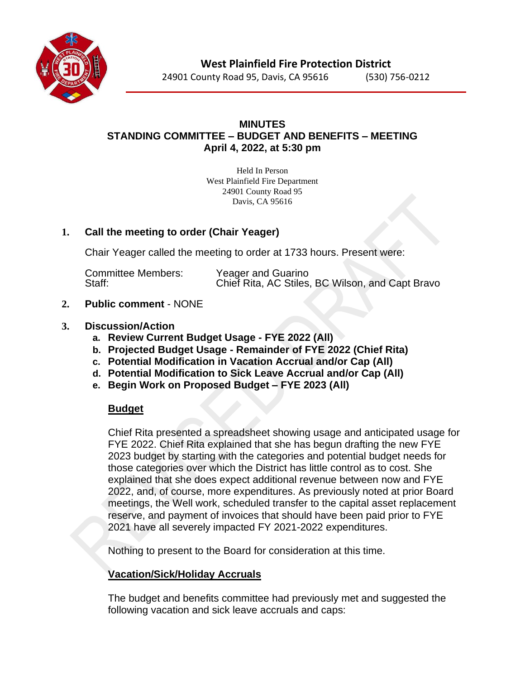

24901 County Road 95, Davis, CA 95616 (530) 756-0212

## **MINUTES STANDING COMMITTEE – BUDGET AND BENEFITS – MEETING April 4, 2022, at 5:30 pm**

Held In Person West Plainfield Fire Department 24901 County Road 95 Davis, CA 95616

# **1. Call the meeting to order (Chair Yeager)**

Chair Yeager called the meeting to order at 1733 hours. Present were:

Committee Members: Yeager and Guarino<br>Staff: Chief Rita, AC Stiles Chief Rita, AC Stiles, BC Wilson, and Capt Bravo

# **2. Public comment** - NONE

### **3. Discussion/Action**

- **a. Review Current Budget Usage - FYE 2022 (All)**
- **b. Projected Budget Usage - Remainder of FYE 2022 (Chief Rita)**
- **c. Potential Modification in Vacation Accrual and/or Cap (All)**
- **d. Potential Modification to Sick Leave Accrual and/or Cap (All)**
- **e. Begin Work on Proposed Budget – FYE 2023 (All)**

# **Budget**

Chief Rita presented a spreadsheet showing usage and anticipated usage for FYE 2022. Chief Rita explained that she has begun drafting the new FYE 2023 budget by starting with the categories and potential budget needs for those categories over which the District has little control as to cost. She explained that she does expect additional revenue between now and FYE 2022, and, of course, more expenditures. As previously noted at prior Board meetings, the Well work, scheduled transfer to the capital asset replacement reserve, and payment of invoices that should have been paid prior to FYE 2021 have all severely impacted FY 2021-2022 expenditures.

Nothing to present to the Board for consideration at this time.

# **Vacation/Sick/Holiday Accruals**

The budget and benefits committee had previously met and suggested the following vacation and sick leave accruals and caps: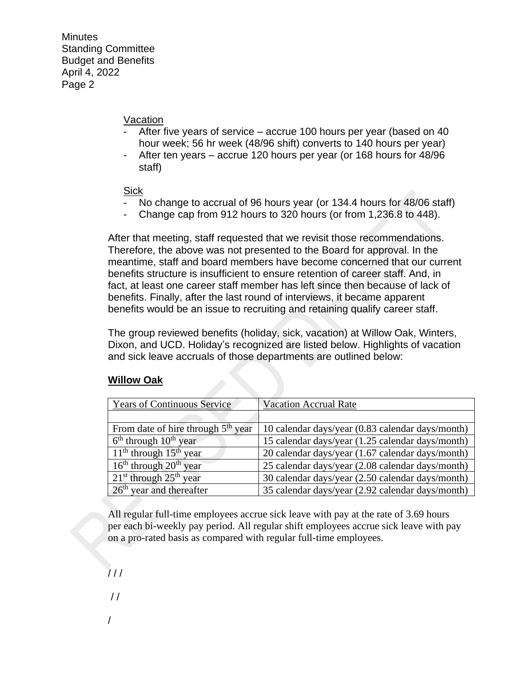#### Vacation

- After five years of service accrue 100 hours per year (based on 40 hour week; 56 hr week (48/96 shift) converts to 140 hours per year)
- After ten years accrue 120 hours per year (or 168 hours for 48/96 staff)

### **Sick**

- No change to accrual of 96 hours year (or 134.4 hours for 48/06 staff)
- Change cap from 912 hours to 320 hours (or from 1,236.8 to 448).

After that meeting, staff requested that we revisit those recommendations. Therefore, the above was not presented to the Board for approval. In the meantime, staff and board members have become concerned that our current benefits structure is insufficient to ensure retention of career staff. And, in fact, at least one career staff member has left since then because of lack of benefits. Finally, after the last round of interviews, it became apparent benefits would be an issue to recruiting and retaining qualify career staff.

The group reviewed benefits (holiday, sick, vacation) at Willow Oak, Winters, Dixon, and UCD. Holiday's recognized are listed below. Highlights of vacation and sick leave accruals of those departments are outlined below:

### **Willow Oak**

| <b>Years of Continuous Service</b>   | <b>Vacation Accrual Rate</b>                     |
|--------------------------------------|--------------------------------------------------|
|                                      |                                                  |
| From date of hire through $5th$ year | 10 calendar days/year (0.83 calendar days/month) |
| $6th$ through $10th$ year            | 15 calendar days/year (1.25 calendar days/month) |
| $11th$ through $15th$ year           | 20 calendar days/year (1.67 calendar days/month) |
| $16th$ through $20th$ year           | 25 calendar days/year (2.08 calendar days/month) |
| $21st$ through $25th$ year           | 30 calendar days/year (2.50 calendar days/month) |
| $26th$ year and thereafter           | 35 calendar days/year (2.92 calendar days/month) |

All regular full-time employees accrue sick leave with pay at the rate of 3.69 hours per each bi-weekly pay period. All regular shift employees accrue sick leave with pay on a pro-rated basis as compared with regular full-time employees.

 $111$ 

 $/$ 

/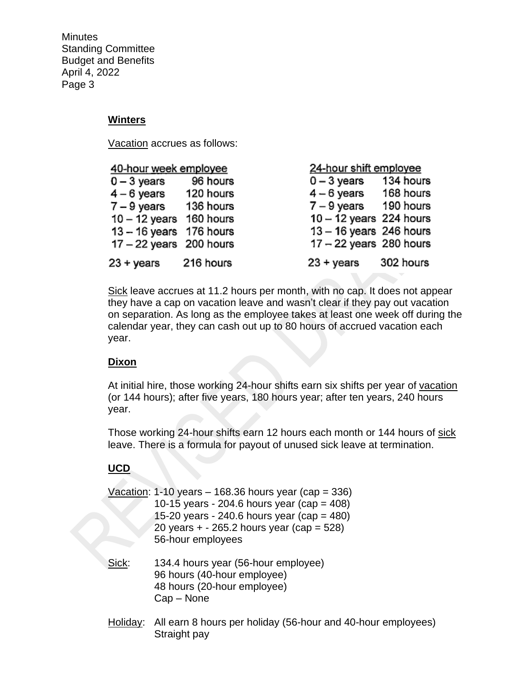### **Winters**

Vacation accrues as follows:

| 40-hour week employee     |           | 24-hour shift employee    |           |  |
|---------------------------|-----------|---------------------------|-----------|--|
| $0 - 3$ years             | 96 hours  | $0 - 3$ years             | 134 hours |  |
| $4 - 6$ years             | 120 hours | $4-6$ years 168 hours     |           |  |
| $7 - 9$ years             | 136 hours | $7 - 9$ years 190 hours   |           |  |
| $10 - 12$ years 160 hours |           | $10 - 12$ years 224 hours |           |  |
| 13 - 16 years 176 hours   |           | $13 - 16$ years 246 hours |           |  |
| $17 - 22$ years 200 hours |           | $17 - 22$ years 280 hours |           |  |
| $23 + \gamma$ ears        | 216 hours | $23 + \gamma$ ears        | 302 hours |  |

Sick leave accrues at 11.2 hours per month, with no cap. It does not appear they have a cap on vacation leave and wasn't clear if they pay out vacation on separation. As long as the employee takes at least one week off during the calendar year, they can cash out up to 80 hours of accrued vacation each year.

# **Dixon**

At initial hire, those working 24-hour shifts earn six shifts per year of vacation (or 144 hours); after five years, 180 hours year; after ten years, 240 hours year.

Those working 24-hour shifts earn 12 hours each month or 144 hours of sick leave. There is a formula for payout of unused sick leave at termination.

# **UCD**

|       | Vacation: 1-10 years $-$ 168.36 hours year (cap = 336)<br>10-15 years - 204.6 hours year (cap = $408$ )<br>15-20 years - 240.6 hours year (cap = 480)<br>20 years $+ - 265.2$ hours year (cap = 528)<br>56-hour employees |  |
|-------|---------------------------------------------------------------------------------------------------------------------------------------------------------------------------------------------------------------------------|--|
| Sick: | 134.4 hours year (56-hour employee)<br>96 hours (40-hour employee)<br>48 hours (20-hour employee)                                                                                                                         |  |

Cap – None

Holiday: All earn 8 hours per holiday (56-hour and 40-hour employees) Straight pay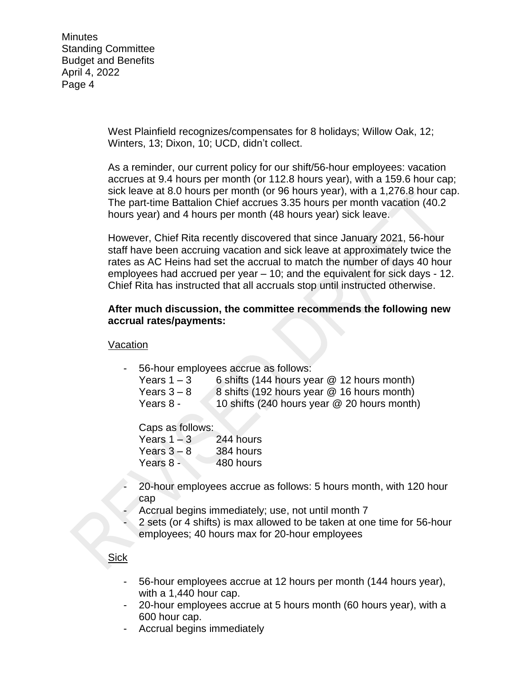> West Plainfield recognizes/compensates for 8 holidays; Willow Oak, 12; Winters, 13; Dixon, 10; UCD, didn't collect.

As a reminder, our current policy for our shift/56-hour employees: vacation accrues at 9.4 hours per month (or 112.8 hours year), with a 159.6 hour cap; sick leave at 8.0 hours per month (or 96 hours year), with a 1,276.8 hour cap. The part-time Battalion Chief accrues 3.35 hours per month vacation (40.2 hours year) and 4 hours per month (48 hours year) sick leave.

However, Chief Rita recently discovered that since January 2021, 56-hour staff have been accruing vacation and sick leave at approximately twice the rates as AC Heins had set the accrual to match the number of days 40 hour employees had accrued per year – 10; and the equivalent for sick days - 12. Chief Rita has instructed that all accruals stop until instructed otherwise.

#### **After much discussion, the committee recommends the following new accrual rates/payments:**

#### Vacation

56-hour employees accrue as follows:

| Years $1 - 3$ | 6 shifts (144 hours year $@$ 12 hours month) |
|---------------|----------------------------------------------|
| Years $3-8$   | 8 shifts (192 hours year @ 16 hours month)   |
| Years 8 -     | 10 shifts (240 hours year @ 20 hours month)  |

Caps as follows:

| Years $1 - 3$ | 244 hours |
|---------------|-----------|
| Years $3 - 8$ | 384 hours |
| Years 8 -     | 480 hours |

- 20-hour employees accrue as follows: 5 hours month, with 120 hour cap
- Accrual begins immediately; use, not until month 7
- 2 sets (or 4 shifts) is max allowed to be taken at one time for 56-hour employees; 40 hours max for 20-hour employees

### Sick

- 56-hour employees accrue at 12 hours per month (144 hours year), with a 1,440 hour cap.
- 20-hour employees accrue at 5 hours month (60 hours year), with a 600 hour cap.
- Accrual begins immediately